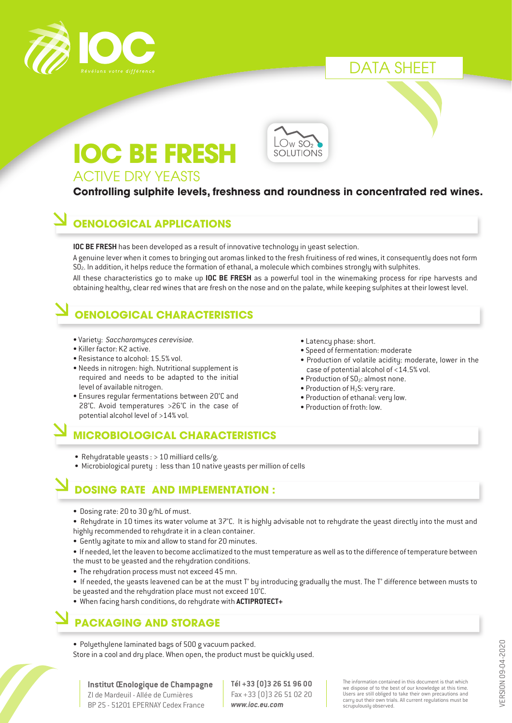

# DATA SHEET

# **IOC BE FRESH**



### ACTIVE DRY YEASTS

#### **Controlling sulphite levels, freshness and roundness in concentrated red wines.**

#### **OENOLOGICAL APPLICATIONS**

**IOC BE FRESH** has been developed as a result of innovative technology in yeast selection.

A genuine lever when it comes to bringing out aromas linked to the fresh fruitiness of red wines, it consequently does not form SO2. In addition, it helps reduce the formation of ethanal, a molecule which combines strongly with sulphites.

All these characteristics go to make up **IOC BE FRESH** as a powerful tool in the winemaking process for ripe harvests and obtaining healthy, clear red wines that are fresh on the nose and on the palate, while keeping sulphites at their lowest level.

# **OENOLOGICAL CHARACTERISTICS**

- Variety: *Saccharomyces cerevisiae.*
- Killer factor: K2 active.
- Resistance to alcohol: 15.5% vol.
- Needs in nitrogen: high. Nutritional supplement is required and needs to be adapted to the initial level of available nitrogen.
- Ensures regular fermentations between 20°C and 28°C. Avoid temperatures >26°C in the case of potential alcohol level of >14% vol.

#### **MICROBIOLOGICAL CHARACTERISTICS**

- Rehydratable yeasts : > 10 milliard cells/g.
- Microbiological purety : less than 10 native yeasts per million of cells

## **DOSING RATE AND IMPLEMENTATION :**

- Dosing rate: 20 to 30 g/hL of must.
- Rehydrate in 10 times its water volume at 37°C. It is highly advisable not to rehydrate the yeast directly into the must and highly recommended to rehydrate it in a clean container.
- Gently agitate to mix and allow to stand for 20 minutes.
- If needed, let the leaven to become acclimatized to the must temperature as well as to the difference of temperature between the must to be yeasted and the rehydration conditions.
- The rehydration process must not exceed 45 mn.
- If needed, the yeasts leavened can be at the must T° by introducing gradually the must. The T° difference between musts to be yeasted and the rehydration place must not exceed 10°C.
- When facing harsh conditions, do rehydrate with **ACTIPROTECT+**

#### **PACKAGING AND STORAGE**

• Polyethylene laminated bags of 500 g vacuum packed. Store in a cool and dry place. When open, the product must be quickly used.

**Institut Œnologique de Champagne** ZI de Mardeuil - Allée de Cumières BP 25 - 51201 EPERNAY Cedex France

**Tél +33 (0)3 26 51 96 00** Fax +33 (0)3 26 51 02 20 *www.ioc.eu.com*

The information contained in this document is that which we dispose of to the best of our knowledge at this time. Users are still obliged to take their own precautions and carry out their own trials. All current regulations must be scrupulously observed.

• Latency phase: short.

- Speed of fermentation: moderate
- Production of volatile acidity: moderate, lower in the case of potential alcohol of <14.5% vol.
- Production of  $SO_2$ : almost none.
- Production of  $H_2S$ : very rare.
- Production of ethanal: very low.
- Production of froth: low.